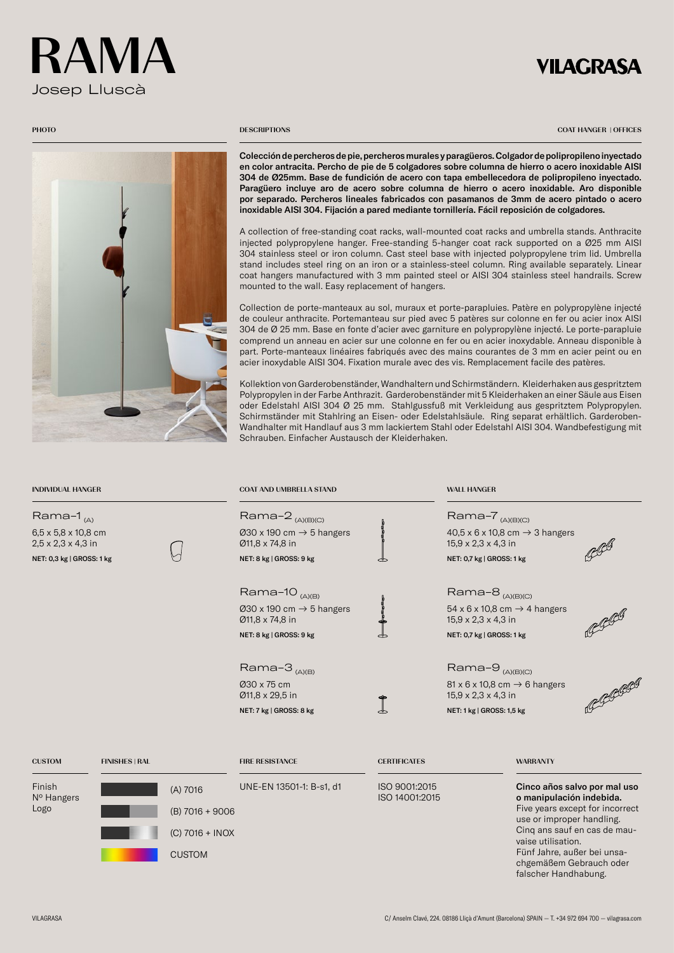# Josep Lluscà RAMA

## **VILAGRASA**



#### **PHOTO** DESCRIPTIONS

COAT HANGER | OFFICES

Colección de percheros de pie, percheros murales y paragüeros. Colgador de polipropileno inyectado en color antracita. Percho de pie de 5 colgadores sobre columna de hierro o acero inoxidable AISI 304 de Ø25mm. Base de fundición de acero con tapa embellecedora de polipropileno inyectado. Paragüero incluye aro de acero sobre columna de hierro o acero inoxidable. Aro disponible por separado. Percheros lineales fabricados con pasamanos de 3mm de acero pintado o acero inoxidable AISI 304. Fijación a pared mediante tornillería. Fácil reposición de colgadores.

A collection of free-standing coat racks, wall-mounted coat racks and umbrella stands. Anthracite injected polypropylene hanger. Free-standing 5-hanger coat rack supported on a Ø25 mm AISI 304 stainless steel or iron column. Cast steel base with injected polypropylene trim lid. Umbrella stand includes steel ring on an iron or a stainless-steel column. Ring available separately. Linear coat hangers manufactured with 3 mm painted steel or AISI 304 stainless steel handrails. Screw mounted to the wall. Easy replacement of hangers.

Collection de porte-manteaux au sol, muraux et porte-parapluies. Patère en polypropylène injecté de couleur anthracite. Portemanteau sur pied avec 5 patères sur colonne en fer ou acier inox AISI 304 de Ø 25 mm. Base en fonte d'acier avec garniture en polypropylène injecté. Le porte-parapluie comprend un anneau en acier sur une colonne en fer ou en acier inoxydable. Anneau disponible à part. Porte-manteaux linéaires fabriqués avec des mains courantes de 3 mm en acier peint ou en acier inoxydable AISI 304. Fixation murale avec des vis. Remplacement facile des patères.

Kollektion von Garderobenständer, Wandhaltern und Schirmständern. Kleiderhaken aus gespritztem Polypropylen in der Farbe Anthrazit. Garderobenständer mit 5 Kleiderhaken an einer Säule aus Eisen oder Edelstahl AISI 304 Ø 25 mm. Stahlgussfuß mit Verkleidung aus gespritztem Polypropylen. Schirmständer mit Stahlring an Eisen- oder Edelstahlsäule. Ring separat erhältlich. Garderoben-Wandhalter mit Handlauf aus 3 mm lackiertem Stahl oder Edelstahl AISI 304. Wandbefestigung mit Schrauben. Einfacher Austausch der Kleiderhaken.

| <b>INDIVIDUAL HANGER</b>                                                                                          |                       |                                                                   | <b>COAT AND UMBRELLA STAND</b>                                                                                    |                                 | <b>WALL HANGER</b>                                                                                                                                    |                                                                                                                                                                                                                                                                  |        |
|-------------------------------------------------------------------------------------------------------------------|-----------------------|-------------------------------------------------------------------|-------------------------------------------------------------------------------------------------------------------|---------------------------------|-------------------------------------------------------------------------------------------------------------------------------------------------------|------------------------------------------------------------------------------------------------------------------------------------------------------------------------------------------------------------------------------------------------------------------|--------|
| Rama-1 $_{(A)}$<br>$6,5 \times 5,8 \times 10,8$ cm<br>$2,5 \times 2,3 \times 4,3$ in<br>NET: 0,3 kg   GROSS: 1 kg |                       |                                                                   | Rama-2 <sub>(A)(B)(C)</sub><br>030 x 190 cm $\rightarrow$ 5 hangers<br>Ø11,8 x 74,8 in<br>NET: 8 kg   GROSS: 9 kg | ᇰ                               | Rama-7 <sub>(A)(B)(C)</sub><br>$40,5 \times 6 \times 10,8$ cm $\rightarrow 3$ hangers<br>$15,9 \times 2,3 \times 4,3$ in<br>NET: 0,7 kg   GROSS: 1 kg |                                                                                                                                                                                                                                                                  |        |
|                                                                                                                   |                       |                                                                   | Rama-10 <sub>(A)(B)</sub><br>030 x 190 cm $\rightarrow$ 5 hangers<br>Ø11,8 x 74,8 in<br>NET: 8 kg   GROSS: 9 kg   |                                 | Rama- $8_{(A)(B)(C)}$<br>54 x 6 x 10,8 cm $\rightarrow$ 4 hangers<br>15,9 x 2,3 x 4,3 in<br>NET: 0,7 kg   GROSS: 1 kg                                 |                                                                                                                                                                                                                                                                  |        |
|                                                                                                                   |                       |                                                                   | Rama-3 $_{(A)(B)}$<br>030 x 75 cm<br>Ø11,8 x 29,5 in<br>NET: 7 kg   GROSS: 8 kg                                   |                                 | Rama-9 <sub>(A)(B)(C)</sub><br>81 x 6 x 10,8 cm $\rightarrow$ 6 hangers<br>15,9 x 2,3 x 4,3 in<br>NET: 1 kg   GROSS: 1,5 kg                           |                                                                                                                                                                                                                                                                  | RGGGGG |
| <b>CUSTOM</b>                                                                                                     | <b>FINISHES   RAL</b> |                                                                   | <b>FIRE RESISTANCE</b>                                                                                            | <b>CERTIFICATES</b>             |                                                                                                                                                       | <b>WARRANTY</b>                                                                                                                                                                                                                                                  |        |
| Finish<br>Nº Hangers<br>Logo                                                                                      |                       | (A) 7016<br>$(B)$ 7016 + 9006<br>(C) 7016 + INOX<br><b>CUSTOM</b> | UNE-EN 13501-1: B-s1, d1                                                                                          | ISO 9001:2015<br>ISO 14001:2015 |                                                                                                                                                       | Cinco años salvo por mal uso<br>o manipulación indebida.<br>Five years except for incorrect<br>use or improper handling.<br>Cing ans sauf en cas de mau-<br>vaise utilisation.<br>Fünf Jahre, außer bei unsa-<br>chgemäßem Gebrauch oder<br>falscher Handhabung. |        |